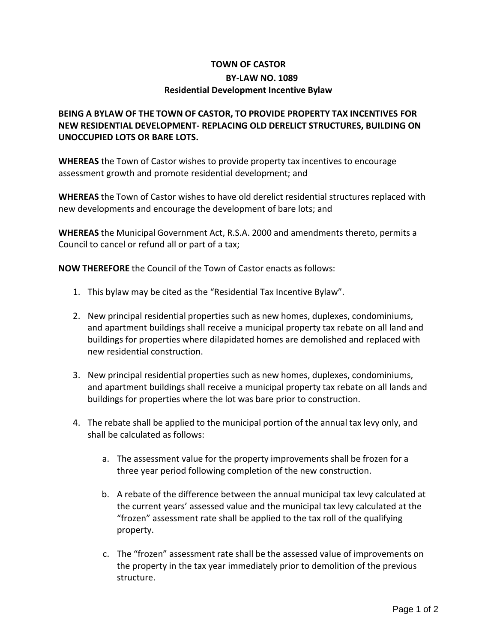## **TOWN OF CASTOR BY-LAW NO. 1089 Residential Development Incentive Bylaw**

## **BEING A BYLAW OF THE TOWN OF CASTOR, TO PROVIDE PROPERTY TAX INCENTIVES FOR NEW RESIDENTIAL DEVELOPMENT- REPLACING OLD DERELICT STRUCTURES, BUILDING ON UNOCCUPIED LOTS OR BARE LOTS.**

**WHEREAS** the Town of Castor wishes to provide property tax incentives to encourage assessment growth and promote residential development; and

**WHEREAS** the Town of Castor wishes to have old derelict residential structures replaced with new developments and encourage the development of bare lots; and

**WHEREAS** the Municipal Government Act, R.S.A. 2000 and amendments thereto, permits a Council to cancel or refund all or part of a tax;

**NOW THEREFORE** the Council of the Town of Castor enacts as follows:

- 1. This bylaw may be cited as the "Residential Tax Incentive Bylaw".
- 2. New principal residential properties such as new homes, duplexes, condominiums, and apartment buildings shall receive a municipal property tax rebate on all land and buildings for properties where dilapidated homes are demolished and replaced with new residential construction.
- 3. New principal residential properties such as new homes, duplexes, condominiums, and apartment buildings shall receive a municipal property tax rebate on all lands and buildings for properties where the lot was bare prior to construction.
- 4. The rebate shall be applied to the municipal portion of the annual tax levy only, and shall be calculated as follows:
	- a. The assessment value for the property improvements shall be frozen for a three year period following completion of the new construction.
	- b. A rebate of the difference between the annual municipal tax levy calculated at the current years' assessed value and the municipal tax levy calculated at the "frozen" assessment rate shall be applied to the tax roll of the qualifying property.
	- c. The "frozen" assessment rate shall be the assessed value of improvements on the property in the tax year immediately prior to demolition of the previous structure.